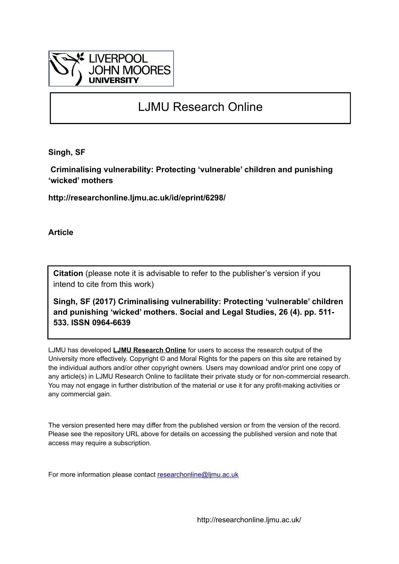

# LJMU Research Online

**Singh, SF**

 **Criminalising vulnerability: Protecting 'vulnerable' children and punishing 'wicked' mothers**

**http://researchonline.ljmu.ac.uk/id/eprint/6298/**

**Article**

**Citation** (please note it is advisable to refer to the publisher's version if you intend to cite from this work)

**Singh, SF (2017) Criminalising vulnerability: Protecting 'vulnerable' children and punishing 'wicked' mothers. Social and Legal Studies, 26 (4). pp. 511- 533. ISSN 0964-6639** 

LJMU has developed **[LJMU Research Online](http://researchonline.ljmu.ac.uk/)** for users to access the research output of the University more effectively. Copyright © and Moral Rights for the papers on this site are retained by the individual authors and/or other copyright owners. Users may download and/or print one copy of any article(s) in LJMU Research Online to facilitate their private study or for non-commercial research. You may not engage in further distribution of the material or use it for any profit-making activities or any commercial gain.

The version presented here may differ from the published version or from the version of the record. Please see the repository URL above for details on accessing the published version and note that access may require a subscription.

For more information please contact [researchonline@ljmu.ac.uk](mailto:researchonline@ljmu.ac.uk)

http://researchonline.ljmu.ac.uk/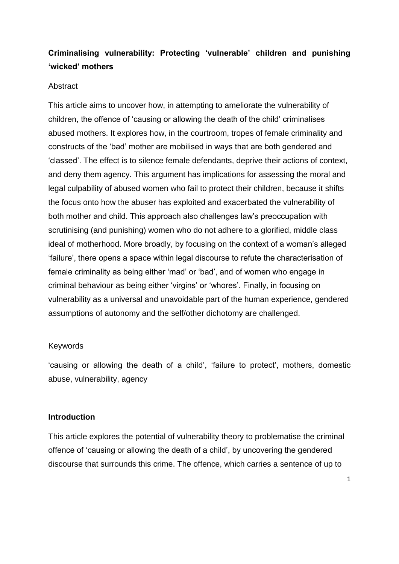## **Criminalising vulnerability: Protecting 'vulnerable' children and punishing 'wicked' mothers**

#### **Abstract**

This article aims to uncover how, in attempting to ameliorate the vulnerability of children, the offence of 'causing or allowing the death of the child' criminalises abused mothers. It explores how, in the courtroom, tropes of female criminality and constructs of the 'bad' mother are mobilised in ways that are both gendered and 'classed'. The effect is to silence female defendants, deprive their actions of context, and deny them agency. This argument has implications for assessing the moral and legal culpability of abused women who fail to protect their children, because it shifts the focus onto how the abuser has exploited and exacerbated the vulnerability of both mother and child. This approach also challenges law's preoccupation with scrutinising (and punishing) women who do not adhere to a glorified, middle class ideal of motherhood. More broadly, by focusing on the context of a woman's alleged 'failure', there opens a space within legal discourse to refute the characterisation of female criminality as being either 'mad' or 'bad', and of women who engage in criminal behaviour as being either 'virgins' or 'whores'. Finally, in focusing on vulnerability as a universal and unavoidable part of the human experience, gendered assumptions of autonomy and the self/other dichotomy are challenged.

#### Keywords

'causing or allowing the death of a child', 'failure to protect', mothers, domestic abuse, vulnerability, agency

## **Introduction**

This article explores the potential of vulnerability theory to problematise the criminal offence of 'causing or allowing the death of a child', by uncovering the gendered discourse that surrounds this crime. The offence, which carries a sentence of up to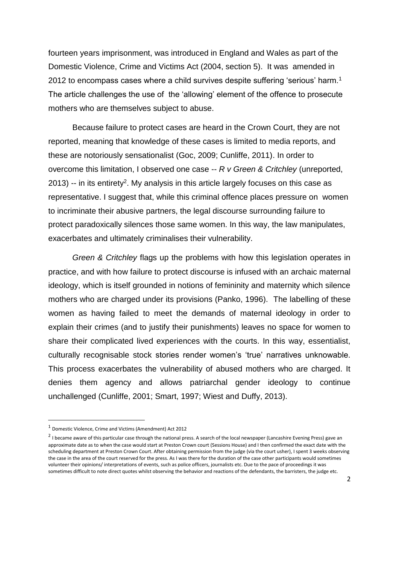fourteen years imprisonment, was introduced in England and Wales as part of the Domestic Violence, Crime and Victims Act (2004, section 5). It was amended in 2012 to encompass cases where a child survives despite suffering 'serious' harm.<sup>1</sup> The article challenges the use of the 'allowing' element of the offence to prosecute mothers who are themselves subject to abuse.

Because failure to protect cases are heard in the Crown Court, they are not reported, meaning that knowledge of these cases is limited to media reports, and these are notoriously sensationalist (Goc, 2009; Cunliffe, 2011). In order to overcome this limitation, I observed one case -- *R v Green & Critchley* (unreported,  $2013$ ) -- in its entirety<sup>2</sup>. My analysis in this article largely focuses on this case as representative. I suggest that, while this criminal offence places pressure on women to incriminate their abusive partners, the legal discourse surrounding failure to protect paradoxically silences those same women. In this way, the law manipulates, exacerbates and ultimately criminalises their vulnerability.

*Green & Critchley* flags up the problems with how this legislation operates in practice, and with how failure to protect discourse is infused with an archaic maternal ideology, which is itself grounded in notions of femininity and maternity which silence mothers who are charged under its provisions (Panko, 1996). The labelling of these women as having failed to meet the demands of maternal ideology in order to explain their crimes (and to justify their punishments) leaves no space for women to share their complicated lived experiences with the courts. In this way, essentialist, culturally recognisable stock stories render women's 'true' narratives unknowable. This process exacerbates the vulnerability of abused mothers who are charged. It denies them agency and allows patriarchal gender ideology to continue unchallenged (Cunliffe, 2001; Smart, 1997; Wiest and Duffy, 2013).

**.** 

<sup>1</sup> Domestic Violence, Crime and Victims (Amendment) Act 2012

<sup>&</sup>lt;sup>2</sup> I became aware of this particular case through the national press. A search of the local newspaper (Lancashire Evening Press) gave an approximate date as to when the case would start at Preston Crown court (Sessions House) and I then confirmed the exact date with the scheduling department at Preston Crown Court. After obtaining permission from the judge (via the court usher), I spent 3 weeks observing the case in the area of the court reserved for the press. As I was there for the duration of the case other participants would sometimes volunteer their opinions/ interpretations of events, such as police officers, journalists etc. Due to the pace of proceedings it was sometimes difficult to note direct quotes whilst observing the behavior and reactions of the defendants, the barristers, the judge etc.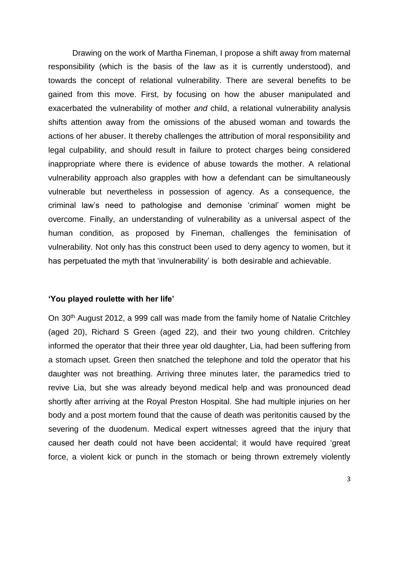Drawing on the work of Martha Fineman, I propose a shift away from maternal responsibility (which is the basis of the law as it is currently understood), and towards the concept of relational vulnerability. There are several benefits to be gained from this move. First, by focusing on how the abuser manipulated and exacerbated the vulnerability of mother *and* child, a relational vulnerability analysis shifts attention away from the omissions of the abused woman and towards the actions of her abuser. It thereby challenges the attribution of moral responsibility and legal culpability, and should result in failure to protect charges being considered inappropriate where there is evidence of abuse towards the mother. A relational vulnerability approach also grapples with how a defendant can be simultaneously vulnerable but nevertheless in possession of agency. As a consequence, the criminal law's need to pathologise and demonise 'criminal' women might be overcome. Finally, an understanding of vulnerability as a universal aspect of the human condition, as proposed by Fineman, challenges the feminisation of vulnerability. Not only has this construct been used to deny agency to women, but it has perpetuated the myth that 'invulnerability' is both desirable and achievable.

#### **'You played roulette with her life'**

On 30th August 2012, a 999 call was made from the family home of Natalie Critchley (aged 20), Richard S Green (aged 22), and their two young children. Critchley informed the operator that their three year old daughter, Lia, had been suffering from a stomach upset. Green then snatched the telephone and told the operator that his daughter was not breathing. Arriving three minutes later, the paramedics tried to revive Lia, but she was already beyond medical help and was pronounced dead shortly after arriving at the Royal Preston Hospital. She had multiple injuries on her body and a post mortem found that the cause of death was peritonitis caused by the severing of the duodenum. Medical expert witnesses agreed that the injury that caused her death could not have been accidental; it would have required 'great force, a violent kick or punch in the stomach or being thrown extremely violently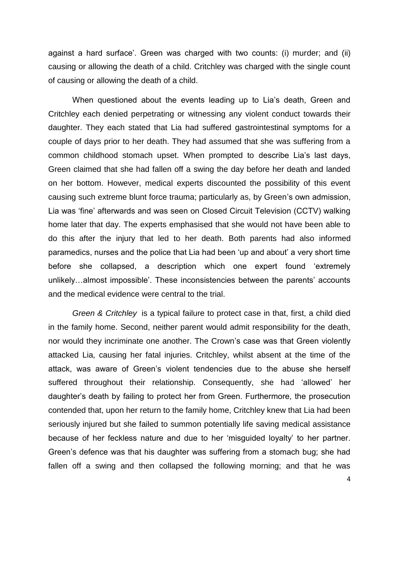against a hard surface'. Green was charged with two counts: (i) murder; and (ii) causing or allowing the death of a child. Critchley was charged with the single count of causing or allowing the death of a child.

When questioned about the events leading up to Lia's death, Green and Critchley each denied perpetrating or witnessing any violent conduct towards their daughter. They each stated that Lia had suffered gastrointestinal symptoms for a couple of days prior to her death. They had assumed that she was suffering from a common childhood stomach upset. When prompted to describe Lia's last days, Green claimed that she had fallen off a swing the day before her death and landed on her bottom. However, medical experts discounted the possibility of this event causing such extreme blunt force trauma; particularly as, by Green's own admission, Lia was 'fine' afterwards and was seen on Closed Circuit Television (CCTV) walking home later that day. The experts emphasised that she would not have been able to do this after the injury that led to her death. Both parents had also informed paramedics, nurses and the police that Lia had been 'up and about' a very short time before she collapsed, a description which one expert found 'extremely unlikely…almost impossible'. These inconsistencies between the parents' accounts and the medical evidence were central to the trial.

*Green & Critchley* is a typical failure to protect case in that, first, a child died in the family home. Second, neither parent would admit responsibility for the death, nor would they incriminate one another. The Crown's case was that Green violently attacked Lia, causing her fatal injuries. Critchley, whilst absent at the time of the attack, was aware of Green's violent tendencies due to the abuse she herself suffered throughout their relationship. Consequently, she had 'allowed' her daughter's death by failing to protect her from Green. Furthermore, the prosecution contended that, upon her return to the family home, Critchley knew that Lia had been seriously injured but she failed to summon potentially life saving medical assistance because of her feckless nature and due to her 'misguided loyalty' to her partner. Green's defence was that his daughter was suffering from a stomach bug; she had fallen off a swing and then collapsed the following morning; and that he was

4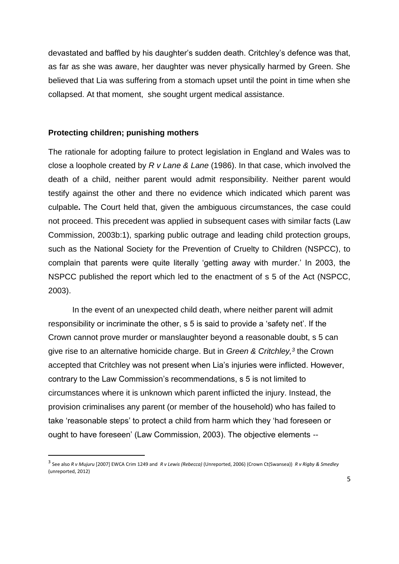devastated and baffled by his daughter's sudden death. Critchley's defence was that, as far as she was aware, her daughter was never physically harmed by Green. She believed that Lia was suffering from a stomach upset until the point in time when she collapsed. At that moment, she sought urgent medical assistance.

#### **Protecting children; punishing mothers**

**.** 

The rationale for adopting failure to protect legislation in England and Wales was to close a loophole created by *R v Lane & Lane* (1986). In that case, which involved the death of a child, neither parent would admit responsibility. Neither parent would testify against the other and there no evidence which indicated which parent was culpable**.** The Court held that, given the ambiguous circumstances, the case could not proceed. This precedent was applied in subsequent cases with similar facts (Law Commission, 2003b:1), sparking public outrage and leading child protection groups, such as the National Society for the Prevention of Cruelty to Children (NSPCC), to complain that parents were quite literally 'getting away with murder.' In 2003, the NSPCC published the report which led to the enactment of s 5 of the Act (NSPCC, 2003).

In the event of an unexpected child death, where neither parent will admit responsibility or incriminate the other, s 5 is said to provide a 'safety net'. If the Crown cannot prove murder or manslaughter beyond a reasonable doubt, s 5 can give rise to an alternative homicide charge. But in *Green & Critchley,<sup>3</sup>* the Crown accepted that Critchley was not present when Lia's injuries were inflicted. However, contrary to the Law Commission's recommendations, s 5 is not limited to circumstances where it is unknown which parent inflicted the injury. Instead, the provision criminalises any parent (or member of the household) who has failed to take 'reasonable steps' to protect a child from harm which they 'had foreseen or ought to have foreseen' (Law Commission, 2003). The objective elements --

<sup>3</sup> See also *R v Mujuru* [2007] EWCA Crim 1249 and *R v Lewis (Rebecca)* (Unreported, 2006) (Crown Ct(Swansea)) *R v Rigby & Smedley* (unreported, 2012)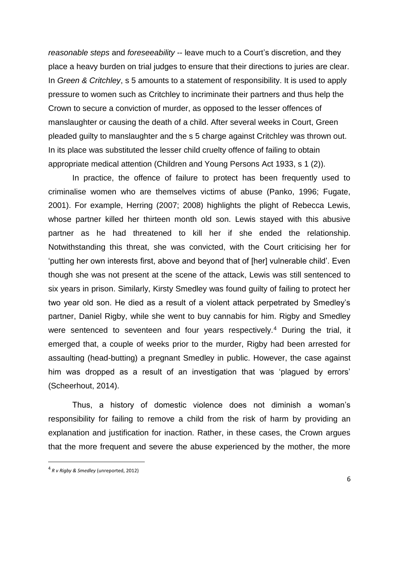*reasonable steps* and *foreseeability* -- leave much to a Court's discretion, and they place a heavy burden on trial judges to ensure that their directions to juries are clear. In *Green & Critchley*, s 5 amounts to a statement of responsibility. It is used to apply pressure to women such as Critchley to incriminate their partners and thus help the Crown to secure a conviction of murder, as opposed to the lesser offences of manslaughter or causing the death of a child. After several weeks in Court, Green pleaded guilty to manslaughter and the s 5 charge against Critchley was thrown out. In its place was substituted the lesser child cruelty offence of failing to obtain appropriate medical attention (Children and Young Persons Act 1933, s 1 (2)).

In practice, the offence of failure to protect has been frequently used to criminalise women who are themselves victims of abuse (Panko, 1996; Fugate, 2001). For example, Herring (2007; 2008) highlights the plight of Rebecca Lewis, whose partner killed her thirteen month old son. Lewis stayed with this abusive partner as he had threatened to kill her if she ended the relationship. Notwithstanding this threat, she was convicted, with the Court criticising her for 'putting her own interests first, above and beyond that of [her] vulnerable child'. Even though she was not present at the scene of the attack, Lewis was still sentenced to six years in prison. Similarly, Kirsty Smedley was found guilty of failing to protect her two year old son. He died as a result of a violent attack perpetrated by Smedley's partner, Daniel Rigby, while she went to buy cannabis for him. Rigby and Smedley were sentenced to seventeen and four years respectively.<sup>4</sup> During the trial, it emerged that, a couple of weeks prior to the murder, Rigby had been arrested for assaulting (head-butting) a pregnant Smedley in public. However, the case against him was dropped as a result of an investigation that was 'plagued by errors' (Scheerhout, 2014).

Thus, a history of domestic violence does not diminish a woman's responsibility for failing to remove a child from the risk of harm by providing an explanation and justification for inaction. Rather, in these cases, the Crown argues that the more frequent and severe the abuse experienced by the mother, the more

**.** 

<sup>4</sup> *R v Rigby & Smedley* (unreported, 2012)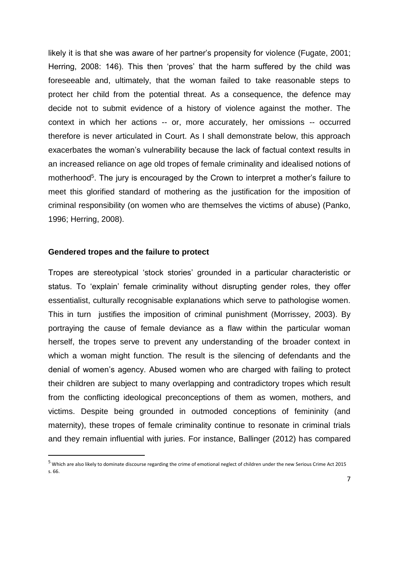likely it is that she was aware of her partner's propensity for violence (Fugate, 2001; Herring, 2008: 146). This then 'proves' that the harm suffered by the child was foreseeable and, ultimately, that the woman failed to take reasonable steps to protect her child from the potential threat. As a consequence, the defence may decide not to submit evidence of a history of violence against the mother. The context in which her actions -- or, more accurately, her omissions -- occurred therefore is never articulated in Court. As I shall demonstrate below, this approach exacerbates the woman's vulnerability because the lack of factual context results in an increased reliance on age old tropes of female criminality and idealised notions of motherhood<sup>5</sup>. The jury is encouraged by the Crown to interpret a mother's failure to meet this glorified standard of mothering as the justification for the imposition of criminal responsibility (on women who are themselves the victims of abuse) (Panko, 1996; Herring, 2008).

#### **Gendered tropes and the failure to protect**

**.** 

Tropes are stereotypical 'stock stories' grounded in a particular characteristic or status. To 'explain' female criminality without disrupting gender roles, they offer essentialist, culturally recognisable explanations which serve to pathologise women. This in turn justifies the imposition of criminal punishment (Morrissey, 2003). By portraying the cause of female deviance as a flaw within the particular woman herself, the tropes serve to prevent any understanding of the broader context in which a woman might function. The result is the silencing of defendants and the denial of women's agency. Abused women who are charged with failing to protect their children are subject to many overlapping and contradictory tropes which result from the conflicting ideological preconceptions of them as women, mothers, and victims. Despite being grounded in outmoded conceptions of femininity (and maternity), these tropes of female criminality continue to resonate in criminal trials and they remain influential with juries. For instance, Ballinger (2012) has compared

<sup>5</sup> Which are also likely to dominate discourse regarding the crime of emotional neglect of children under the new Serious Crime Act 2015 s. 66.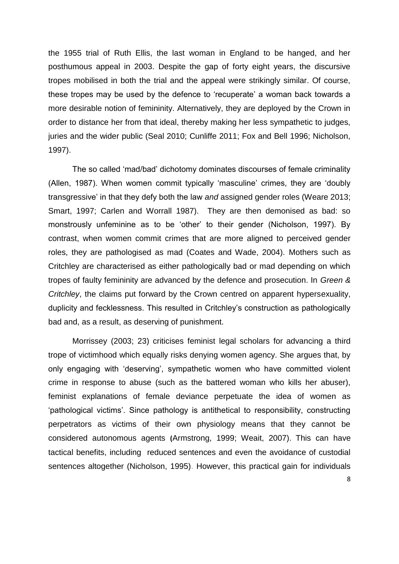the 1955 trial of Ruth Ellis, the last woman in England to be hanged, and her posthumous appeal in 2003. Despite the gap of forty eight years, the discursive tropes mobilised in both the trial and the appeal were strikingly similar. Of course, these tropes may be used by the defence to 'recuperate' a woman back towards a more desirable notion of femininity. Alternatively, they are deployed by the Crown in order to distance her from that ideal, thereby making her less sympathetic to judges, juries and the wider public (Seal 2010; Cunliffe 2011; Fox and Bell 1996; Nicholson, 1997).

The so called 'mad/bad' dichotomy dominates discourses of female criminality (Allen, 1987). When women commit typically 'masculine' crimes, they are 'doubly transgressive' in that they defy both the law *and* assigned gender roles (Weare 2013; Smart, 1997; Carlen and Worrall 1987). They are then demonised as bad: so monstrously unfeminine as to be 'other' to their gender (Nicholson, 1997). By contrast, when women commit crimes that are more aligned to perceived gender roles, they are pathologised as mad (Coates and Wade, 2004). Mothers such as Critchley are characterised as either pathologically bad or mad depending on which tropes of faulty femininity are advanced by the defence and prosecution. In *Green & Critchley*, the claims put forward by the Crown centred on apparent hypersexuality, duplicity and fecklessness. This resulted in Critchley's construction as pathologically bad and, as a result, as deserving of punishment.

Morrissey (2003; 23) criticises feminist legal scholars for advancing a third trope of victimhood which equally risks denying women agency. She argues that, by only engaging with 'deserving', sympathetic women who have committed violent crime in response to abuse (such as the battered woman who kills her abuser), feminist explanations of female deviance perpetuate the idea of women as 'pathological victims'. Since pathology is antithetical to responsibility, constructing perpetrators as victims of their own physiology means that they cannot be considered autonomous agents **(**Armstrong, 1999; Weait, 2007). This can have tactical benefits, including reduced sentences and even the avoidance of custodial sentences altogether (Nicholson, 1995). However, this practical gain for individuals

8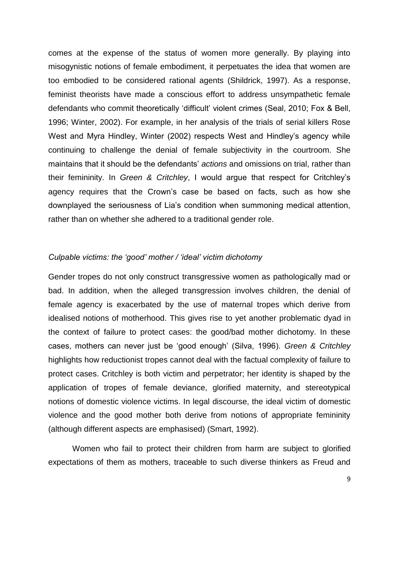comes at the expense of the status of women more generally. By playing into misogynistic notions of female embodiment, it perpetuates the idea that women are too embodied to be considered rational agents (Shildrick, 1997). As a response, feminist theorists have made a conscious effort to address unsympathetic female defendants who commit theoretically 'difficult' violent crimes (Seal, 2010; Fox & Bell, 1996; Winter, 2002). For example, in her analysis of the trials of serial killers Rose West and Myra Hindley, Winter (2002) respects West and Hindley's agency while continuing to challenge the denial of female subjectivity in the courtroom. She maintains that it should be the defendants' *actions* and omissions on trial, rather than their femininity. In *Green & Critchley*, I would argue that respect for Critchley's agency requires that the Crown's case be based on facts, such as how she downplayed the seriousness of Lia's condition when summoning medical attention, rather than on whether she adhered to a traditional gender role.

#### *Culpable victims: the 'good' mother / 'ideal' victim dichotomy*

Gender tropes do not only construct transgressive women as pathologically mad or bad. In addition, when the alleged transgression involves children, the denial of female agency is exacerbated by the use of maternal tropes which derive from idealised notions of motherhood. This gives rise to yet another problematic dyad in the context of failure to protect cases: the good/bad mother dichotomy. In these cases, mothers can never just be 'good enough' (Silva, 1996). *Green & Critchley* highlights how reductionist tropes cannot deal with the factual complexity of failure to protect cases. Critchley is both victim and perpetrator; her identity is shaped by the application of tropes of female deviance, glorified maternity, and stereotypical notions of domestic violence victims. In legal discourse, the ideal victim of domestic violence and the good mother both derive from notions of appropriate femininity (although different aspects are emphasised) (Smart, 1992).

Women who fail to protect their children from harm are subject to glorified expectations of them as mothers, traceable to such diverse thinkers as Freud and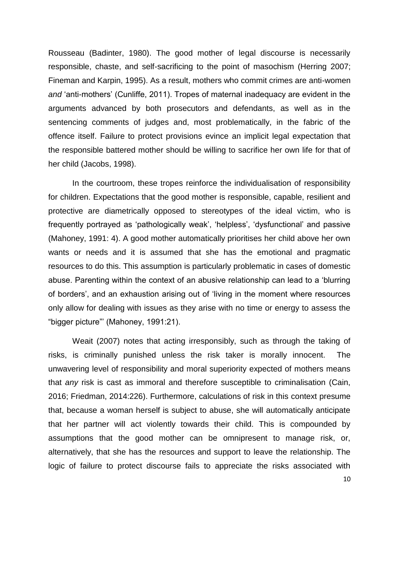Rousseau (Badinter, 1980). The good mother of legal discourse is necessarily responsible, chaste, and self-sacrificing to the point of masochism (Herring 2007; Fineman and Karpin, 1995). As a result, mothers who commit crimes are anti-women *and* 'anti-mothers' (Cunliffe, 2011). Tropes of maternal inadequacy are evident in the arguments advanced by both prosecutors and defendants, as well as in the sentencing comments of judges and, most problematically, in the fabric of the offence itself. Failure to protect provisions evince an implicit legal expectation that the responsible battered mother should be willing to sacrifice her own life for that of her child (Jacobs, 1998).

In the courtroom, these tropes reinforce the individualisation of responsibility for children. Expectations that the good mother is responsible, capable, resilient and protective are diametrically opposed to stereotypes of the ideal victim, who is frequently portrayed as 'pathologically weak', 'helpless', 'dysfunctional' and passive (Mahoney, 1991: 4). A good mother automatically prioritises her child above her own wants or needs and it is assumed that she has the emotional and pragmatic resources to do this. This assumption is particularly problematic in cases of domestic abuse. Parenting within the context of an abusive relationship can lead to a 'blurring of borders', and an exhaustion arising out of 'living in the moment where resources only allow for dealing with issues as they arise with no time or energy to assess the "bigger picture"' (Mahoney, 1991:21).

Weait (2007) notes that acting irresponsibly, such as through the taking of risks, is criminally punished unless the risk taker is morally innocent. The unwavering level of responsibility and moral superiority expected of mothers means that *any* risk is cast as immoral and therefore susceptible to criminalisation (Cain, 2016; Friedman, 2014:226). Furthermore, calculations of risk in this context presume that, because a woman herself is subject to abuse, she will automatically anticipate that her partner will act violently towards their child. This is compounded by assumptions that the good mother can be omnipresent to manage risk, or, alternatively, that she has the resources and support to leave the relationship. The logic of failure to protect discourse fails to appreciate the risks associated with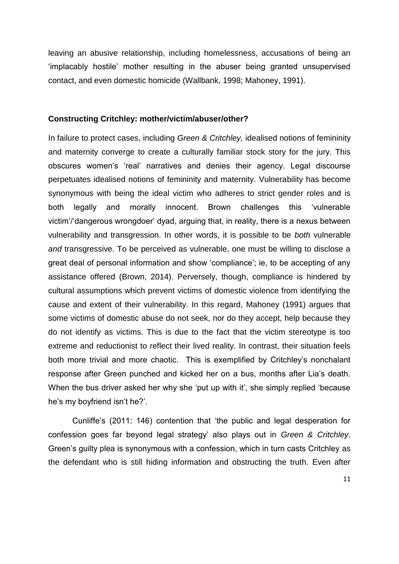leaving an abusive relationship, including homelessness, accusations of being an 'implacably hostile' mother resulting in the abuser being granted unsupervised contact, and even domestic homicide (Wallbank, 1998; Mahoney, 1991).

#### **Constructing Critchley: mother/victim/abuser/other?**

In failure to protect cases, including *Green & Critchley,* idealised notions of femininity and maternity converge to create a culturally familiar stock story for the jury. This obscures women's 'real' narratives and denies their agency. Legal discourse perpetuates idealised notions of femininity and maternity. Vulnerability has become synonymous with being the ideal victim who adheres to strict gender roles and is both legally and morally innocent. Brown challenges this 'vulnerable victim'/'dangerous wrongdoer' dyad, arguing that, in reality, there is a nexus between vulnerability and transgression. In other words, it is possible to be *both* vulnerable *and* transgressive. To be perceived as vulnerable, one must be willing to disclose a great deal of personal information and show 'compliance'; ie, to be accepting of any assistance offered (Brown, 2014). Perversely, though, compliance is hindered by cultural assumptions which prevent victims of domestic violence from identifying the cause and extent of their vulnerability. In this regard, Mahoney (1991) argues that some victims of domestic abuse do not seek, nor do they accept, help because they do not identify as victims. This is due to the fact that the victim stereotype is too extreme and reductionist to reflect their lived reality. In contrast, their situation feels both more trivial and more chaotic. This is exemplified by Critchley's nonchalant response after Green punched and kicked her on a bus, months after Lia's death. When the bus driver asked her why she 'put up with it', she simply replied 'because he's my boyfriend isn't he?'.

Cunliffe's (2011: 146) contention that 'the public and legal desperation for confession goes far beyond legal strategy' also plays out in *Green & Critchley*. Green's guilty plea is synonymous with a confession, which in turn casts Critchley as the defendant who is still hiding information and obstructing the truth. Even after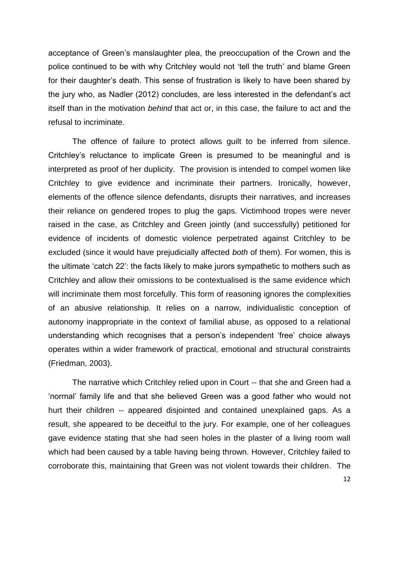acceptance of Green's manslaughter plea, the preoccupation of the Crown and the police continued to be with why Critchley would not 'tell the truth' and blame Green for their daughter's death. This sense of frustration is likely to have been shared by the jury who, as Nadler (2012) concludes, are less interested in the defendant's act itself than in the motivation *behind* that act or, in this case, the failure to act and the refusal to incriminate.

The offence of failure to protect allows guilt to be inferred from silence. Critchley's reluctance to implicate Green is presumed to be meaningful and is interpreted as proof of her duplicity. The provision is intended to compel women like Critchley to give evidence and incriminate their partners. Ironically, however, elements of the offence silence defendants, disrupts their narratives, and increases their reliance on gendered tropes to plug the gaps. Victimhood tropes were never raised in the case, as Critchley and Green jointly (and successfully) petitioned for evidence of incidents of domestic violence perpetrated against Critchley to be excluded (since it would have prejudicially affected *both* of them). For women, this is the ultimate 'catch 22': the facts likely to make jurors sympathetic to mothers such as Critchley and allow their omissions to be contextualised is the same evidence which will incriminate them most forcefully. This form of reasoning ignores the complexities of an abusive relationship. It relies on a narrow, individualistic conception of autonomy inappropriate in the context of familial abuse, as opposed to a relational understanding which recognises that a person's independent 'free' choice always operates within a wider framework of practical, emotional and structural constraints (Friedman, 2003).

The narrative which Critchley relied upon in Court -- that she and Green had a 'normal' family life and that she believed Green was a good father who would not hurt their children -- appeared disjointed and contained unexplained gaps. As a result, she appeared to be deceitful to the jury. For example, one of her colleagues gave evidence stating that she had seen holes in the plaster of a living room wall which had been caused by a table having being thrown. However, Critchley failed to corroborate this, maintaining that Green was not violent towards their children. The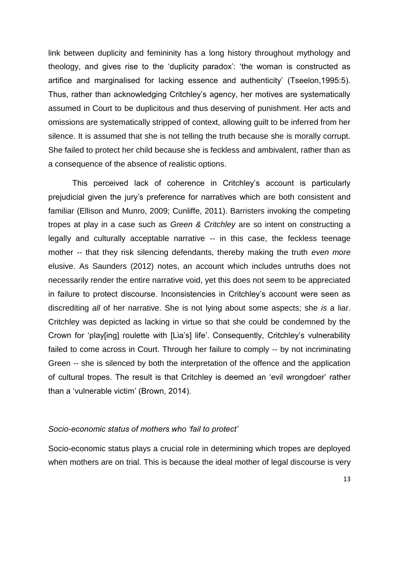link between duplicity and femininity has a long history throughout mythology and theology, and gives rise to the 'duplicity paradox': 'the woman is constructed as artifice and marginalised for lacking essence and authenticity' (Tseelon,1995:5). Thus, rather than acknowledging Critchley's agency, her motives are systematically assumed in Court to be duplicitous and thus deserving of punishment. Her acts and omissions are systematically stripped of context, allowing guilt to be inferred from her silence. It is assumed that she is not telling the truth because she is morally corrupt. She failed to protect her child because she is feckless and ambivalent, rather than as a consequence of the absence of realistic options.

This perceived lack of coherence in Critchley's account is particularly prejudicial given the jury's preference for narratives which are both consistent and familiar (Ellison and Munro, 2009; Cunliffe, 2011). Barristers invoking the competing tropes at play in a case such as *Green & Critchley* are so intent on constructing a legally and culturally acceptable narrative -- in this case, the feckless teenage mother -- that they risk silencing defendants, thereby making the truth *even more* elusive. As Saunders (2012) notes, an account which includes untruths does not necessarily render the entire narrative void, yet this does not seem to be appreciated in failure to protect discourse. Inconsistencies in Critchley's account were seen as discrediting *all* of her narrative. She is not lying about some aspects; she *is* a liar. Critchley was depicted as lacking in virtue so that she could be condemned by the Crown for 'play[ing] roulette with [Lia's] life'. Consequently, Critchley's vulnerability failed to come across in Court. Through her failure to comply -- by not incriminating Green -- she is silenced by both the interpretation of the offence and the application of cultural tropes. The result is that Critchley is deemed an 'evil wrongdoer' rather than a 'vulnerable victim' (Brown, 2014).

#### *Socio-economic status of mothers who 'fail to protect'*

Socio-economic status plays a crucial role in determining which tropes are deployed when mothers are on trial. This is because the ideal mother of legal discourse is very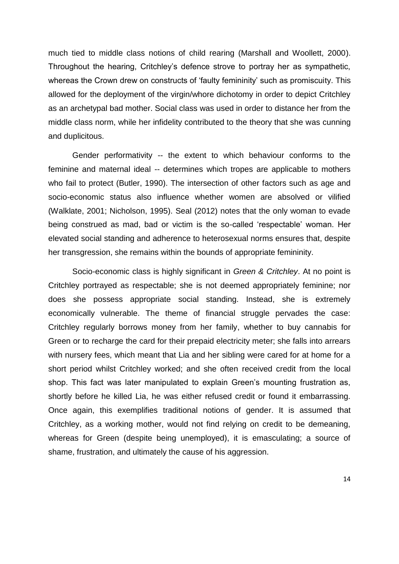much tied to middle class notions of child rearing (Marshall and Woollett, 2000). Throughout the hearing, Critchley's defence strove to portray her as sympathetic, whereas the Crown drew on constructs of 'faulty femininity' such as promiscuity. This allowed for the deployment of the virgin/whore dichotomy in order to depict Critchley as an archetypal bad mother. Social class was used in order to distance her from the middle class norm, while her infidelity contributed to the theory that she was cunning and duplicitous.

Gender performativity -- the extent to which behaviour conforms to the feminine and maternal ideal -- determines which tropes are applicable to mothers who fail to protect (Butler, 1990). The intersection of other factors such as age and socio-economic status also influence whether women are absolved or vilified (Walklate, 2001; Nicholson, 1995). Seal (2012) notes that the only woman to evade being construed as mad, bad or victim is the so-called 'respectable' woman. Her elevated social standing and adherence to heterosexual norms ensures that, despite her transgression, she remains within the bounds of appropriate femininity.

Socio-economic class is highly significant in *Green & Critchley*. At no point is Critchley portrayed as respectable; she is not deemed appropriately feminine; nor does she possess appropriate social standing. Instead, she is extremely economically vulnerable. The theme of financial struggle pervades the case: Critchley regularly borrows money from her family, whether to buy cannabis for Green or to recharge the card for their prepaid electricity meter; she falls into arrears with nursery fees, which meant that Lia and her sibling were cared for at home for a short period whilst Critchley worked; and she often received credit from the local shop. This fact was later manipulated to explain Green's mounting frustration as, shortly before he killed Lia, he was either refused credit or found it embarrassing. Once again, this exemplifies traditional notions of gender. It is assumed that Critchley, as a working mother, would not find relying on credit to be demeaning, whereas for Green (despite being unemployed), it is emasculating; a source of shame, frustration, and ultimately the cause of his aggression.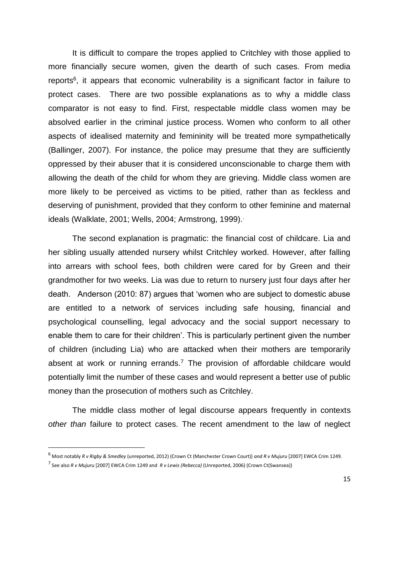It is difficult to compare the tropes applied to Critchley with those applied to more financially secure women, given the dearth of such cases. From media reports<sup>6</sup>, it appears that economic vulnerability is a significant factor in failure to protect cases. There are two possible explanations as to why a middle class comparator is not easy to find. First, respectable middle class women may be absolved earlier in the criminal justice process. Women who conform to all other aspects of idealised maternity and femininity will be treated more sympathetically (Ballinger, 2007). For instance, the police may presume that they are sufficiently oppressed by their abuser that it is considered unconscionable to charge them with allowing the death of the child for whom they are grieving. Middle class women are more likely to be perceived as victims to be pitied, rather than as feckless and deserving of punishment, provided that they conform to other feminine and maternal ideals (Walklate, 2001; Wells, 2004; Armstrong, 1999).

The second explanation is pragmatic: the financial cost of childcare. Lia and her sibling usually attended nursery whilst Critchley worked. However, after falling into arrears with school fees, both children were cared for by Green and their grandmother for two weeks. Lia was due to return to nursery just four days after her death. Anderson (2010: 87) argues that 'women who are subject to domestic abuse are entitled to a network of services including safe housing, financial and psychological counselling, legal advocacy and the social support necessary to enable them to care for their children'. This is particularly pertinent given the number of children (including Lia) who are attacked when their mothers are temporarily absent at work or running errands.<sup>7</sup> The provision of affordable childcare would potentially limit the number of these cases and would represent a better use of public money than the prosecution of mothers such as Critchley.

The middle class mother of legal discourse appears frequently in contexts *other than* failure to protect cases. The recent amendment to the law of neglect

**.** 

<sup>6</sup> Most notably *R v Rigby & Smedley* (unreported, 2012) (Crown Ct (Manchester Crown Court)) *and R v Mujuru* [2007] EWCA Crim 1249.

<sup>7</sup> See also *R v Mujuru* [2007] EWCA Crim 1249 and *R v Lewis (Rebecca)* (Unreported, 2006) (Crown Ct(Swansea))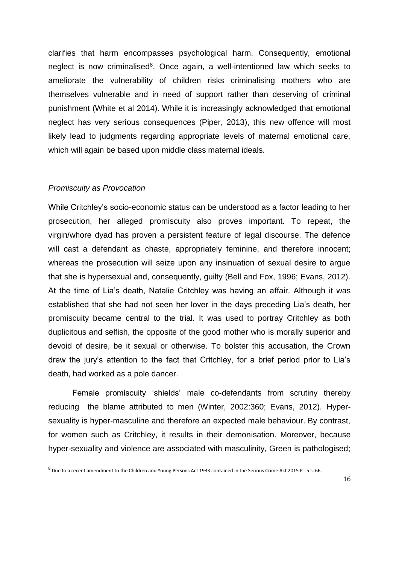clarifies that harm encompasses psychological harm. Consequently, emotional neglect is now criminalised<sup>8</sup>. Once again, a well-intentioned law which seeks to ameliorate the vulnerability of children risks criminalising mothers who are themselves vulnerable and in need of support rather than deserving of criminal punishment (White et al 2014). While it is increasingly acknowledged that emotional neglect has very serious consequences (Piper, 2013), this new offence will most likely lead to judgments regarding appropriate levels of maternal emotional care, which will again be based upon middle class maternal ideals.

#### *Promiscuity as Provocation*

**.** 

While Critchley's socio-economic status can be understood as a factor leading to her prosecution, her alleged promiscuity also proves important. To repeat, the virgin/whore dyad has proven a persistent feature of legal discourse. The defence will cast a defendant as chaste, appropriately feminine, and therefore innocent; whereas the prosecution will seize upon any insinuation of sexual desire to argue that she is hypersexual and, consequently, guilty (Bell and Fox, 1996; Evans, 2012). At the time of Lia's death, Natalie Critchley was having an affair. Although it was established that she had not seen her lover in the days preceding Lia's death, her promiscuity became central to the trial. It was used to portray Critchley as both duplicitous and selfish, the opposite of the good mother who is morally superior and devoid of desire, be it sexual or otherwise. To bolster this accusation, the Crown drew the jury's attention to the fact that Critchley, for a brief period prior to Lia's death, had worked as a pole dancer.

Female promiscuity 'shields' male co-defendants from scrutiny thereby reducing the blame attributed to men (Winter, 2002:360; Evans, 2012). Hypersexuality is hyper-masculine and therefore an expected male behaviour. By contrast, for women such as Critchley, it results in their demonisation. Moreover, because hyper-sexuality and violence are associated with masculinity, Green is pathologised;

<sup>8</sup> Due to a recent amendment to the Children and Young Persons Act 1933 contained in the Serious Crime Act 2015 PT 5 s. 66.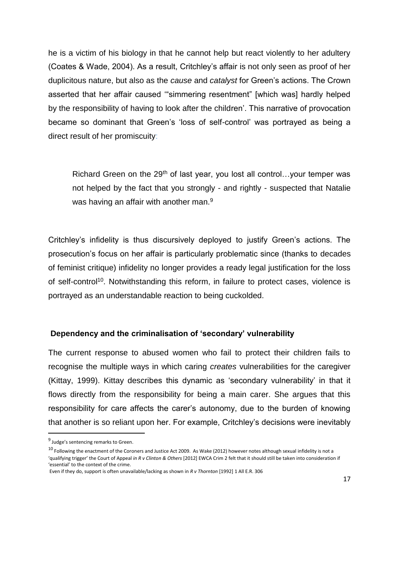he is a victim of his biology in that he cannot help but react violently to her adultery (Coates & Wade, 2004). As a result, Critchley's affair is not only seen as proof of her duplicitous nature, but also as the *cause* and *catalyst* for Green's actions. The Crown asserted that her affair caused '"simmering resentment" [which was] hardly helped by the responsibility of having to look after the children'. This narrative of provocation became so dominant that Green's 'loss of self-control' was portrayed as being a direct result of her promiscuity:

Richard Green on the 29<sup>th</sup> of last year, you lost all control...your temper was not helped by the fact that you strongly - and rightly - suspected that Natalie was having an affair with another man.<sup>9</sup>

Critchley's infidelity is thus discursively deployed to justify Green's actions. The prosecution's focus on her affair is particularly problematic since (thanks to decades of feminist critique) infidelity no longer provides a ready legal justification for the loss of self-control<sup>10</sup>. Notwithstanding this reform, in failure to protect cases, violence is portrayed as an understandable reaction to being cuckolded.

## **Dependency and the criminalisation of 'secondary' vulnerability**

The current response to abused women who fail to protect their children fails to recognise the multiple ways in which caring *creates* vulnerabilities for the caregiver (Kittay, 1999). Kittay describes this dynamic as 'secondary vulnerability' in that it flows directly from the responsibility for being a main carer. She argues that this responsibility for care affects the carer's autonomy, due to the burden of knowing that another is so reliant upon her. For example, Critchley's decisions were inevitably

**.** 

<sup>&</sup>lt;sup>9</sup> Judge's sentencing remarks to Green.

 $10$  Following the enactment of the Coroners and Justice Act 2009. As Wake (2012) however notes although sexual infidelity is not a 'qualifying trigger' the Court of Appeal *in R v Clinton & Others* [2012] EWCA Crim 2 felt that it should still be taken into consideration if 'essential' to the context of the crime.

Even if they do, support is often unavailable/lacking as shown in *R v Thornton* [1992] 1 All E.R. 306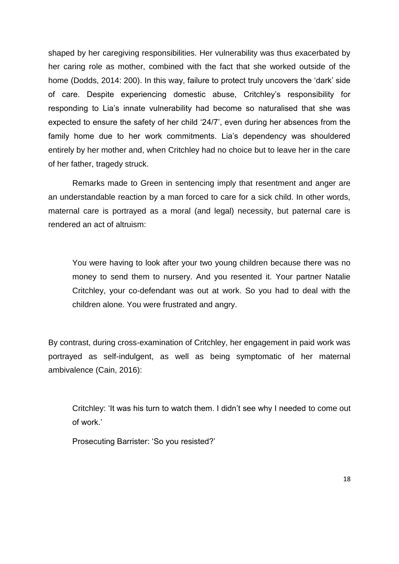shaped by her caregiving responsibilities. Her vulnerability was thus exacerbated by her caring role as mother, combined with the fact that she worked outside of the home (Dodds, 2014: 200). In this way, failure to protect truly uncovers the 'dark' side of care. Despite experiencing domestic abuse, Critchley's responsibility for responding to Lia's innate vulnerability had become so naturalised that she was expected to ensure the safety of her child '24/7', even during her absences from the family home due to her work commitments. Lia's dependency was shouldered entirely by her mother and, when Critchley had no choice but to leave her in the care of her father, tragedy struck.

Remarks made to Green in sentencing imply that resentment and anger are an understandable reaction by a man forced to care for a sick child. In other words, maternal care is portrayed as a moral (and legal) necessity, but paternal care is rendered an act of altruism:

You were having to look after your two young children because there was no money to send them to nursery. And you resented it. Your partner Natalie Critchley, your co-defendant was out at work. So you had to deal with the children alone. You were frustrated and angry.

By contrast, during cross-examination of Critchley, her engagement in paid work was portrayed as self-indulgent, as well as being symptomatic of her maternal ambivalence (Cain, 2016):

Critchley: 'It was his turn to watch them. I didn't see why I needed to come out of work.'

Prosecuting Barrister: 'So you resisted?'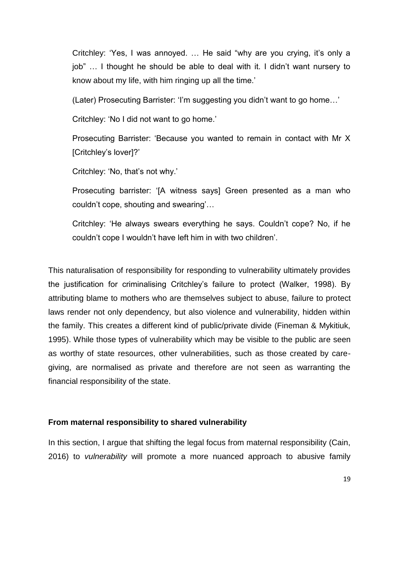Critchley: 'Yes, I was annoyed. … He said "why are you crying, it's only a job" … I thought he should be able to deal with it. I didn't want nursery to know about my life, with him ringing up all the time.'

(Later) Prosecuting Barrister: 'I'm suggesting you didn't want to go home…'

Critchley: 'No I did not want to go home.'

Prosecuting Barrister: 'Because you wanted to remain in contact with Mr X [Critchley's lover]?'

Critchley: 'No, that's not why.'

Prosecuting barrister: '[A witness says] Green presented as a man who couldn't cope, shouting and swearing'…

Critchley: 'He always swears everything he says. Couldn't cope? No, if he couldn't cope I wouldn't have left him in with two children'.

This naturalisation of responsibility for responding to vulnerability ultimately provides the justification for criminalising Critchley's failure to protect (Walker, 1998). By attributing blame to mothers who are themselves subject to abuse, failure to protect laws render not only dependency, but also violence and vulnerability, hidden within the family. This creates a different kind of public/private divide (Fineman & Mykitiuk, 1995). While those types of vulnerability which may be visible to the public are seen as worthy of state resources, other vulnerabilities, such as those created by caregiving, are normalised as private and therefore are not seen as warranting the financial responsibility of the state.

#### **From maternal responsibility to shared vulnerability**

In this section, I argue that shifting the legal focus from maternal responsibility (Cain, 2016) to *vulnerability* will promote a more nuanced approach to abusive family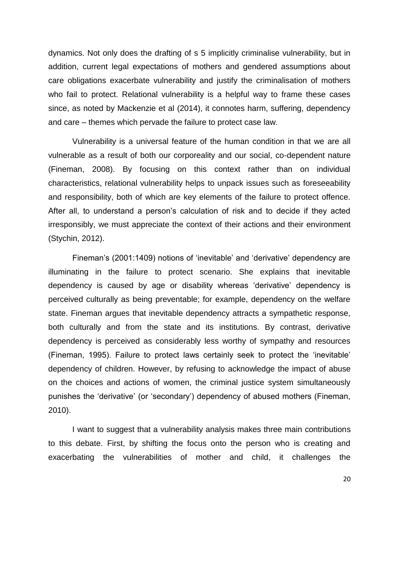dynamics. Not only does the drafting of s 5 implicitly criminalise vulnerability, but in addition, current legal expectations of mothers and gendered assumptions about care obligations exacerbate vulnerability and justify the criminalisation of mothers who fail to protect. Relational vulnerability is a helpful way to frame these cases since, as noted by Mackenzie et al (2014), it connotes harm, suffering, dependency and care – themes which pervade the failure to protect case law.

Vulnerability is a universal feature of the human condition in that we are all vulnerable as a result of both our corporeality and our social, co-dependent nature (Fineman, 2008). By focusing on this context rather than on individual characteristics, relational vulnerability helps to unpack issues such as foreseeability and responsibility, both of which are key elements of the failure to protect offence. After all, to understand a person's calculation of risk and to decide if they acted irresponsibly, we must appreciate the context of their actions and their environment (Stychin, 2012).

Fineman's (2001:1409) notions of 'inevitable' and 'derivative' dependency are illuminating in the failure to protect scenario. She explains that inevitable dependency is caused by age or disability whereas 'derivative' dependency is perceived culturally as being preventable; for example, dependency on the welfare state. Fineman argues that inevitable dependency attracts a sympathetic response, both culturally and from the state and its institutions. By contrast, derivative dependency is perceived as considerably less worthy of sympathy and resources (Fineman, 1995). Failure to protect laws certainly seek to protect the 'inevitable' dependency of children. However, by refusing to acknowledge the impact of abuse on the choices and actions of women, the criminal justice system simultaneously punishes the 'derivative' (or 'secondary') dependency of abused mothers (Fineman, 2010).

I want to suggest that a vulnerability analysis makes three main contributions to this debate. First, by shifting the focus onto the person who is creating and exacerbating the vulnerabilities of mother and child, it challenges the

20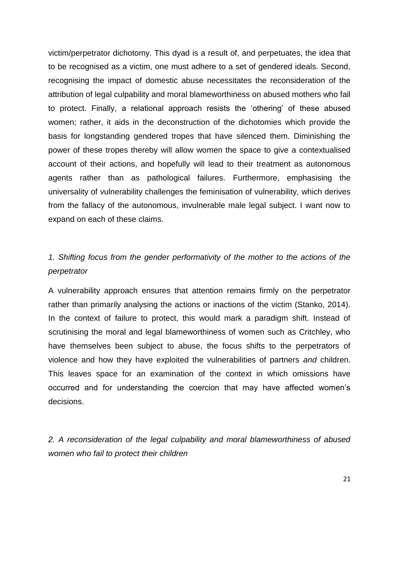victim/perpetrator dichotomy. This dyad is a result of, and perpetuates, the idea that to be recognised as a victim, one must adhere to a set of gendered ideals. Second, recognising the impact of domestic abuse necessitates the reconsideration of the attribution of legal culpability and moral blameworthiness on abused mothers who fail to protect. Finally, a relational approach resists the 'othering' of these abused women; rather, it aids in the deconstruction of the dichotomies which provide the basis for longstanding gendered tropes that have silenced them. Diminishing the power of these tropes thereby will allow women the space to give a contextualised account of their actions, and hopefully will lead to their treatment as autonomous agents rather than as pathological failures. Furthermore, emphasising the universality of vulnerability challenges the feminisation of vulnerability, which derives from the fallacy of the autonomous, invulnerable male legal subject. I want now to expand on each of these claims.

## *1. Shifting focus from the gender performativity of the mother to the actions of the perpetrator*

A vulnerability approach ensures that attention remains firmly on the perpetrator rather than primarily analysing the actions or inactions of the victim (Stanko, 2014). In the context of failure to protect, this would mark a paradigm shift. Instead of scrutinising the moral and legal blameworthiness of women such as Critchley, who have themselves been subject to abuse, the focus shifts to the perpetrators of violence and how they have exploited the vulnerabilities of partners *and* children. This leaves space for an examination of the context in which omissions have occurred and for understanding the coercion that may have affected women's decisions.

*2. A reconsideration of the legal culpability and moral blameworthiness of abused women who fail to protect their children*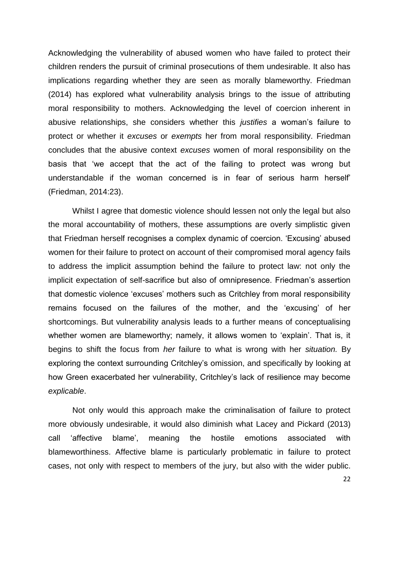Acknowledging the vulnerability of abused women who have failed to protect their children renders the pursuit of criminal prosecutions of them undesirable. It also has implications regarding whether they are seen as morally blameworthy. Friedman (2014) has explored what vulnerability analysis brings to the issue of attributing moral responsibility to mothers. Acknowledging the level of coercion inherent in abusive relationships, she considers whether this *justifies* a woman's failure to protect or whether it *excuses* or *exempts* her from moral responsibility. Friedman concludes that the abusive context *excuses* women of moral responsibility on the basis that 'we accept that the act of the failing to protect was wrong but understandable if the woman concerned is in fear of serious harm herself' (Friedman, 2014:23).

Whilst I agree that domestic violence should lessen not only the legal but also the moral accountability of mothers, these assumptions are overly simplistic given that Friedman herself recognises a complex dynamic of coercion. 'Excusing' abused women for their failure to protect on account of their compromised moral agency fails to address the implicit assumption behind the failure to protect law: not only the implicit expectation of self-sacrifice but also of omnipresence. Friedman's assertion that domestic violence 'excuses' mothers such as Critchley from moral responsibility remains focused on the failures of the mother, and the 'excusing' of her shortcomings. But vulnerability analysis leads to a further means of conceptualising whether women are blameworthy; namely, it allows women to 'explain'. That is, it begins to shift the focus from *her* failure to what is wrong with her *situation.* By exploring the context surrounding Critchley's omission, and specifically by looking at how Green exacerbated her vulnerability, Critchley's lack of resilience may become *explicable*.

Not only would this approach make the criminalisation of failure to protect more obviously undesirable, it would also diminish what Lacey and Pickard (2013) call 'affective blame', meaning the hostile emotions associated with blameworthiness. Affective blame is particularly problematic in failure to protect cases, not only with respect to members of the jury, but also with the wider public.

22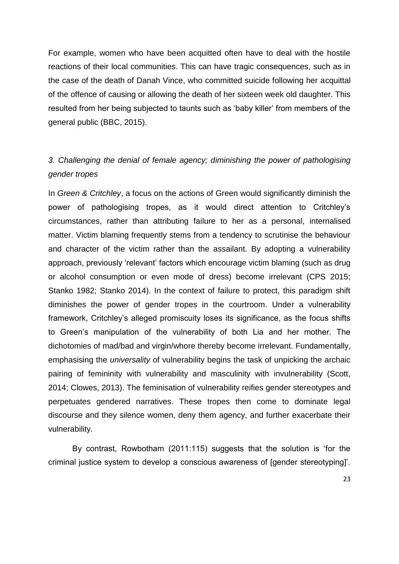For example, women who have been acquitted often have to deal with the hostile reactions of their local communities. This can have tragic consequences, such as in the case of the death of Danah Vince, who committed suicide following her acquittal of the offence of causing or allowing the death of her sixteen week old daughter. This resulted from her being subjected to taunts such as 'baby killer' from members of the general public (BBC, 2015).

## *3. Challenging the denial of female agency; diminishing the power of pathologising gender tropes*

In *Green & Critchley*, a focus on the actions of Green would significantly diminish the power of pathologising tropes, as it would direct attention to Critchley's circumstances, rather than attributing failure to her as a personal, internalised matter. Victim blaming frequently stems from a tendency to scrutinise the behaviour and character of the victim rather than the assailant. By adopting a vulnerability approach, previously 'relevant' factors which encourage victim blaming (such as drug or alcohol consumption or even mode of dress) become irrelevant (CPS 2015; Stanko 1982; Stanko 2014). In the context of failure to protect, this paradigm shift diminishes the power of gender tropes in the courtroom. Under a vulnerability framework, Critchley's alleged promiscuity loses its significance, as the focus shifts to Green's manipulation of the vulnerability of both Lia and her mother. The dichotomies of mad/bad and virgin/whore thereby become irrelevant. Fundamentally, emphasising the *universality* of vulnerability begins the task of unpicking the archaic pairing of femininity with vulnerability and masculinity with invulnerability (Scott, 2014; Clowes, 2013). The feminisation of vulnerability reifies gender stereotypes and perpetuates gendered narratives. These tropes then come to dominate legal discourse and they silence women, deny them agency, and further exacerbate their vulnerability.

By contrast, Rowbotham (2011:115) suggests that the solution is 'for the criminal justice system to develop a conscious awareness of [gender stereotyping]'.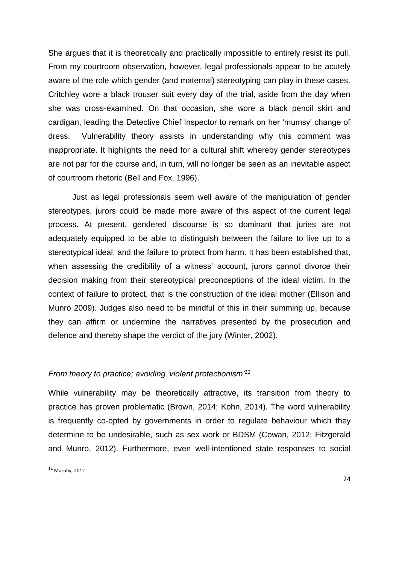She argues that it is theoretically and practically impossible to entirely resist its pull. From my courtroom observation, however, legal professionals appear to be acutely aware of the role which gender (and maternal) stereotyping can play in these cases. Critchley wore a black trouser suit every day of the trial, aside from the day when she was cross-examined. On that occasion, she wore a black pencil skirt and cardigan, leading the Detective Chief Inspector to remark on her 'mumsy' change of dress. Vulnerability theory assists in understanding why this comment was inappropriate. It highlights the need for a cultural shift whereby gender stereotypes are not par for the course and, in turn, will no longer be seen as an inevitable aspect of courtroom rhetoric (Bell and Fox, 1996).

Just as legal professionals seem well aware of the manipulation of gender stereotypes, jurors could be made more aware of this aspect of the current legal process. At present, gendered discourse is so dominant that juries are not adequately equipped to be able to distinguish between the failure to live up to a stereotypical ideal, and the failure to protect from harm. It has been established that, when assessing the credibility of a witness' account, jurors cannot divorce their decision making from their stereotypical preconceptions of the ideal victim. In the context of failure to protect, that is the construction of the ideal mother (Ellison and Munro 2009). Judges also need to be mindful of this in their summing up, because they can affirm or undermine the narratives presented by the prosecution and defence and thereby shape the verdict of the jury (Winter, 2002).

## *From theory to practice; avoiding 'violent protectionism'<sup>11</sup>*

While vulnerability may be theoretically attractive, its transition from theory to practice has proven problematic (Brown, 2014; Kohn, 2014). The word vulnerability is frequently co-opted by governments in order to regulate behaviour which they determine to be undesirable, such as sex work or BDSM (Cowan, 2012; Fitzgerald and Munro, 2012). Furthermore, even well-intentioned state responses to social

**.** 

<sup>11</sup> Murphy, 2012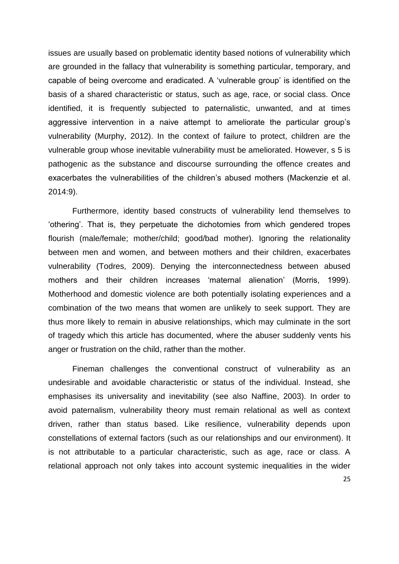issues are usually based on problematic identity based notions of vulnerability which are grounded in the fallacy that vulnerability is something particular, temporary, and capable of being overcome and eradicated. A 'vulnerable group' is identified on the basis of a shared characteristic or status, such as age, race, or social class. Once identified, it is frequently subjected to paternalistic, unwanted, and at times aggressive intervention in a naive attempt to ameliorate the particular group's vulnerability (Murphy, 2012). In the context of failure to protect, children are the vulnerable group whose inevitable vulnerability must be ameliorated. However, s 5 is pathogenic as the substance and discourse surrounding the offence creates and exacerbates the vulnerabilities of the children's abused mothers (Mackenzie et al. 2014:9).

Furthermore, identity based constructs of vulnerability lend themselves to 'othering'. That is, they perpetuate the dichotomies from which gendered tropes flourish (male/female; mother/child; good/bad mother). Ignoring the relationality between men and women, and between mothers and their children, exacerbates vulnerability (Todres, 2009). Denying the interconnectedness between abused mothers and their children increases 'maternal alienation' (Morris, 1999). Motherhood and domestic violence are both potentially isolating experiences and a combination of the two means that women are unlikely to seek support. They are thus more likely to remain in abusive relationships, which may culminate in the sort of tragedy which this article has documented, where the abuser suddenly vents his anger or frustration on the child, rather than the mother.

Fineman challenges the conventional construct of vulnerability as an undesirable and avoidable characteristic or status of the individual. Instead, she emphasises its universality and inevitability (see also Naffine, 2003). In order to avoid paternalism, vulnerability theory must remain relational as well as context driven, rather than status based. Like resilience, vulnerability depends upon constellations of external factors (such as our relationships and our environment). It is not attributable to a particular characteristic, such as age, race or class. A relational approach not only takes into account systemic inequalities in the wider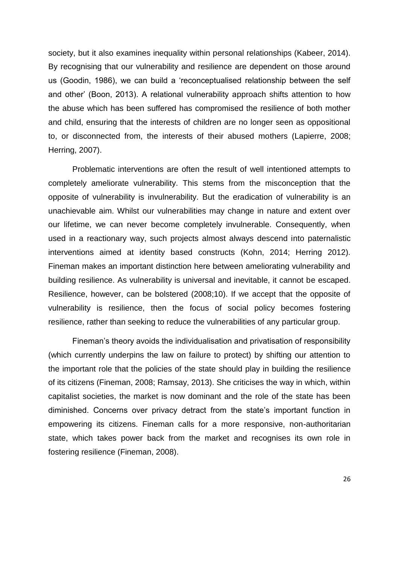society, but it also examines inequality within personal relationships (Kabeer, 2014). By recognising that our vulnerability and resilience are dependent on those around us (Goodin, 1986), we can build a 'reconceptualised relationship between the self and other' (Boon, 2013). A relational vulnerability approach shifts attention to how the abuse which has been suffered has compromised the resilience of both mother and child, ensuring that the interests of children are no longer seen as oppositional to, or disconnected from, the interests of their abused mothers (Lapierre, 2008; Herring, 2007).

Problematic interventions are often the result of well intentioned attempts to completely ameliorate vulnerability. This stems from the misconception that the opposite of vulnerability is invulnerability. But the eradication of vulnerability is an unachievable aim. Whilst our vulnerabilities may change in nature and extent over our lifetime, we can never become completely invulnerable. Consequently, when used in a reactionary way, such projects almost always descend into paternalistic interventions aimed at identity based constructs (Kohn, 2014; Herring 2012). Fineman makes an important distinction here between ameliorating vulnerability and building resilience. As vulnerability is universal and inevitable, it cannot be escaped. Resilience, however, can be bolstered (2008;10). If we accept that the opposite of vulnerability is resilience, then the focus of social policy becomes fostering resilience, rather than seeking to reduce the vulnerabilities of any particular group.

Fineman's theory avoids the individualisation and privatisation of responsibility (which currently underpins the law on failure to protect) by shifting our attention to the important role that the policies of the state should play in building the resilience of its citizens (Fineman, 2008; Ramsay, 2013). She criticises the way in which, within capitalist societies, the market is now dominant and the role of the state has been diminished. Concerns over privacy detract from the state's important function in empowering its citizens. Fineman calls for a more responsive, non-authoritarian state, which takes power back from the market and recognises its own role in fostering resilience (Fineman, 2008).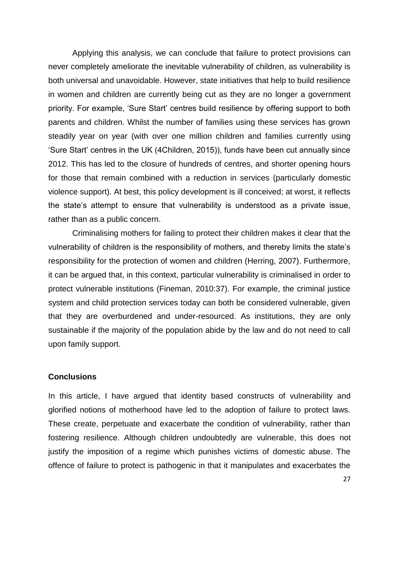Applying this analysis, we can conclude that failure to protect provisions can never completely ameliorate the inevitable vulnerability of children, as vulnerability is both universal and unavoidable. However, state initiatives that help to build resilience in women and children are currently being cut as they are no longer a government priority. For example, 'Sure Start' centres build resilience by offering support to both parents and children. Whilst the number of families using these services has grown steadily year on year (with over one million children and families currently using 'Sure Start' centres in the UK (4Children, 2015)), funds have been cut annually since 2012. This has led to the closure of hundreds of centres, and shorter opening hours for those that remain combined with a reduction in services (particularly domestic violence support). At best, this policy development is ill conceived; at worst, it reflects the state's attempt to ensure that vulnerability is understood as a private issue, rather than as a public concern.

Criminalising mothers for failing to protect their children makes it clear that the vulnerability of children is the responsibility of mothers, and thereby limits the state's responsibility for the protection of women and children (Herring, 2007). Furthermore, it can be argued that, in this context, particular vulnerability is criminalised in order to protect vulnerable institutions (Fineman, 2010:37). For example, the criminal justice system and child protection services today can both be considered vulnerable, given that they are overburdened and under-resourced. As institutions, they are only sustainable if the majority of the population abide by the law and do not need to call upon family support.

#### **Conclusions**

In this article, I have argued that identity based constructs of vulnerability and glorified notions of motherhood have led to the adoption of failure to protect laws. These create, perpetuate and exacerbate the condition of vulnerability, rather than fostering resilience. Although children undoubtedly are vulnerable, this does not justify the imposition of a regime which punishes victims of domestic abuse. The offence of failure to protect is pathogenic in that it manipulates and exacerbates the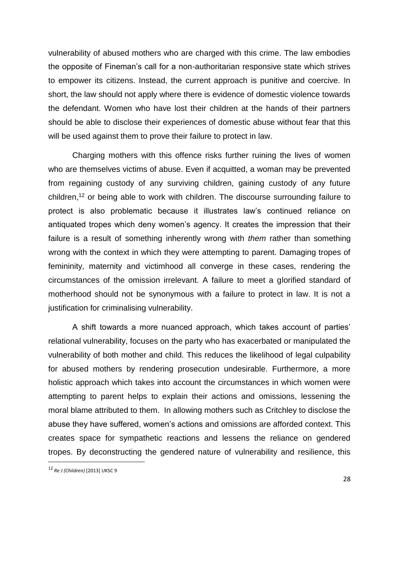vulnerability of abused mothers who are charged with this crime. The law embodies the opposite of Fineman's call for a non-authoritarian responsive state which strives to empower its citizens. Instead, the current approach is punitive and coercive. In short, the law should not apply where there is evidence of domestic violence towards the defendant. Women who have lost their children at the hands of their partners should be able to disclose their experiences of domestic abuse without fear that this will be used against them to prove their failure to protect in law.

Charging mothers with this offence risks further ruining the lives of women who are themselves victims of abuse. Even if acquitted, a woman may be prevented from regaining custody of any surviving children, gaining custody of any future children,<sup>12</sup> or being able to work with children. The discourse surrounding failure to protect is also problematic because it illustrates law's continued reliance on antiquated tropes which deny women's agency. It creates the impression that their failure is a result of something inherently wrong with *them* rather than something wrong with the context in which they were attempting to parent. Damaging tropes of femininity, maternity and victimhood all converge in these cases, rendering the circumstances of the omission irrelevant. A failure to meet a glorified standard of motherhood should not be synonymous with a failure to protect in law. It is not a justification for criminalising vulnerability.

A shift towards a more nuanced approach, which takes account of parties' relational vulnerability, focuses on the party who has exacerbated or manipulated the vulnerability of both mother and child. This reduces the likelihood of legal culpability for abused mothers by rendering prosecution undesirable. Furthermore, a more holistic approach which takes into account the circumstances in which women were attempting to parent helps to explain their actions and omissions, lessening the moral blame attributed to them. In allowing mothers such as Critchley to disclose the abuse they have suffered, women's actions and omissions are afforded context. This creates space for sympathetic reactions and lessens the reliance on gendered tropes. By deconstructing the gendered nature of vulnerability and resilience, this

**.** 

<sup>12</sup> *Re J (Children)* [2013] UKSC 9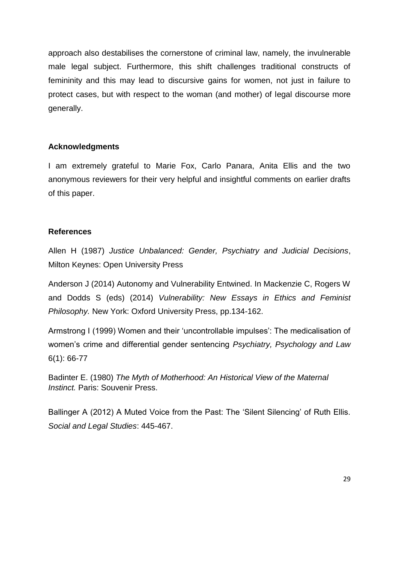approach also destabilises the cornerstone of criminal law, namely, the invulnerable male legal subject. Furthermore, this shift challenges traditional constructs of femininity and this may lead to discursive gains for women, not just in failure to protect cases, but with respect to the woman (and mother) of legal discourse more generally.

## **Acknowledgments**

I am extremely grateful to Marie Fox, Carlo Panara, Anita Ellis and the two anonymous reviewers for their very helpful and insightful comments on earlier drafts of this paper.

## **References**

Allen H (1987) *Justice Unbalanced: Gender, Psychiatry and Judicial Decisions*, Milton Keynes: Open University Press

Anderson J (2014) Autonomy and Vulnerability Entwined. In Mackenzie C, Rogers W and Dodds S (eds) (2014) *Vulnerability: New Essays in Ethics and Feminist Philosophy.* New York: Oxford University Press, pp.134-162.

Armstrong I (1999) Women and their 'uncontrollable impulses': The medicalisation of women's crime and differential gender sentencing *Psychiatry, Psychology and Law*  6(1): 66-77

Badinter E. (1980) *The Myth of Motherhood: An Historical View of the Maternal Instinct.* Paris: Souvenir Press.

Ballinger A (2012) A Muted Voice from the Past: The 'Silent Silencing' of Ruth Ellis. *Social and Legal Studies*: 445-467.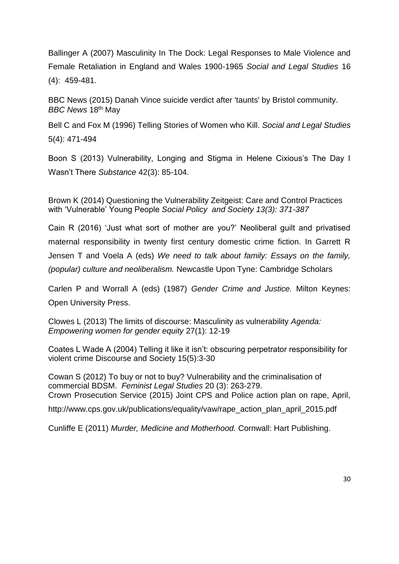Ballinger A (2007) Masculinity In The Dock: Legal Responses to Male Violence and Female Retaliation in England and Wales 1900-1965 *Social and Legal Studies* 16 (4): 459-481.

BBC News (2015) Danah Vince suicide verdict after 'taunts' by Bristol community. *BBC News* 18th May

Bell C and Fox M (1996) Telling Stories of Women who Kill. *Social and Legal Studies*  5(4): 471-494

Boon S (2013) Vulnerability, Longing and Stigma in Helene Cixious's The Day I Wasn't There *Substance* 42(3): 85-104.

Brown K (2014) Questioning the Vulnerability Zeitgeist: Care and Control Practices with 'Vulnerable' Young People *Social Policy and Society 13(3): 371-387*

Cain R (2016) 'Just what sort of mother are you?' Neoliberal guilt and privatised maternal responsibility in twenty first century domestic crime fiction. In Garrett R Jensen T and Voela A (eds) *We need to talk about family: Essays on the family, (popular) culture and neoliberalism.* Newcastle Upon Tyne: Cambridge Scholars

Carlen P and Worrall A (eds) (1987) *Gender Crime and Justice.* Milton Keynes: Open University Press.

Clowes L (2013) The limits of discourse: Masculinity as vulnerability *Agenda: Empowering women for gender equity* 27(1): 12-19

Coates L Wade A (2004) Telling it like it isn't: obscuring perpetrator responsibility for violent crime Discourse and Society 15(5):3-30

Cowan S (2012) To buy or not to buy? Vulnerability and the criminalisation of commercial BDSM. *Feminist Legal Studies* 20 (3): 263-279. Crown Prosecution Service (2015) Joint CPS and Police action plan on rape, April, http://www.cps.gov.uk/publications/equality/vaw/rape\_action\_plan\_april\_2015.pdf

Cunliffe E (2011) *Murder, Medicine and Motherhood.* Cornwall: Hart Publishing.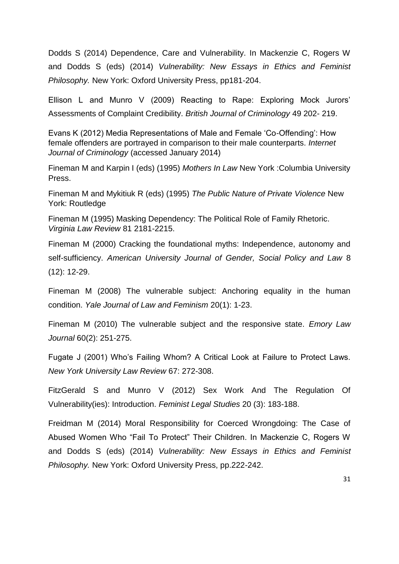Dodds S (2014) Dependence, Care and Vulnerability. In Mackenzie C, Rogers W and Dodds S (eds) (2014) *Vulnerability: New Essays in Ethics and Feminist Philosophy.* New York: Oxford University Press, pp181-204.

Ellison L and Munro V (2009) Reacting to Rape: Exploring Mock Jurors' Assessments of Complaint Credibility. *British Journal of Criminology* 49 202- 219.

Evans K (2012) Media Representations of Male and Female 'Co-Offending': How female offenders are portrayed in comparison to their male counterparts. *Internet Journal of Criminology* (accessed January 2014)

Fineman M and Karpin I (eds) (1995) *Mothers In Law* New York :Columbia University Press.

Fineman M and Mykitiuk R (eds) (1995) *The Public Nature of Private Violence* New York: Routledge

Fineman M (1995) Masking Dependency: The Political Role of Family Rhetoric. *Virginia Law Review* 81 2181-2215.

Fineman M (2000) Cracking the foundational myths: Independence, autonomy and self-sufficiency. *American University Journal of Gender, Social Policy and Law* 8 (12): 12-29.

Fineman M (2008) The vulnerable subject: Anchoring equality in the human condition. *Yale Journal of Law and Feminism* 20(1): 1-23.

Fineman M (2010) The vulnerable subject and the responsive state. *Emory Law Journal* 60(2): 251-275.

Fugate J (2001) Who's Failing Whom? A Critical Look at Failure to Protect Laws. *New York University Law Review* 67: 272-308.

FitzGerald S and Munro V (2012) Sex Work And The Regulation Of Vulnerability(ies): Introduction. *Feminist Legal Studies* 20 (3): 183-188.

Freidman M (2014) Moral Responsibility for Coerced Wrongdoing: The Case of Abused Women Who "Fail To Protect" Their Children. In Mackenzie C, Rogers W and Dodds S (eds) (2014) *Vulnerability: New Essays in Ethics and Feminist Philosophy.* New York: Oxford University Press, pp.222-242.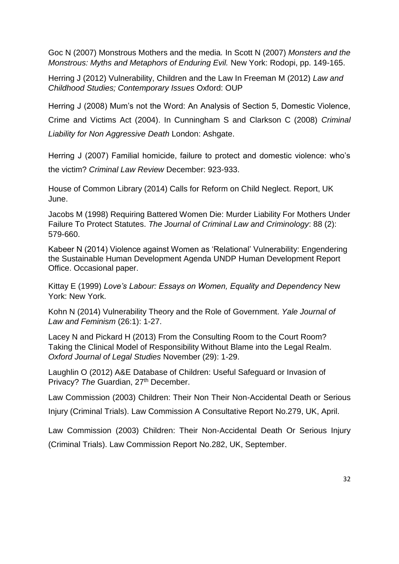Goc N (2007) Monstrous Mothers and the media*.* In Scott N (2007) *Monsters and the Monstrous: Myths and Metaphors of Enduring Evil.* New York: Rodopi, pp. 149-165.

Herring J (2012) Vulnerability, Children and the Law In Freeman M (2012) *Law and Childhood Studies; Contemporary Issues* Oxford: OUP

Herring J (2008) Mum's not the Word: An Analysis of Section 5, Domestic Violence,

Crime and Victims Act (2004). In Cunningham S and Clarkson C (2008) *Criminal Liability for Non Aggressive Death* London: Ashgate.

Herring J (2007) Familial homicide, failure to protect and domestic violence: who's the victim? *Criminal Law Review* December: 923-933.

House of Common Library (2014) Calls for Reform on Child Neglect. Report, UK June.

Jacobs M (1998) Requiring Battered Women Die: Murder Liability For Mothers Under Failure To Protect Statutes. *The Journal of Criminal Law and Criminology*: 88 (2): 579-660.

Kabeer N (2014) Violence against Women as 'Relational' Vulnerability: Engendering the Sustainable Human Development Agenda UNDP Human Development Report Office. Occasional paper.

Kittay E (1999) *Love's Labour: Essays on Women, Equality and Dependency* New York: New York.

Kohn N (2014) Vulnerability Theory and the Role of Government. *Yale Journal of Law and Feminism* (26:1): 1-27.

Lacey N and Pickard H (2013) From the Consulting Room to the Court Room? Taking the Clinical Model of Responsibility Without Blame into the Legal Realm. *Oxford Journal of Legal Studies* November (29): 1-29.

Laughlin O (2012) A&E Database of Children: Useful Safeguard or Invasion of Privacy? The Guardian, 27<sup>th</sup> December.

Law Commission (2003) Children: Their Non Their Non-Accidental Death or Serious

Injury (Criminal Trials). Law Commission A Consultative Report No.279, UK, April.

Law Commission (2003) Children: Their Non-Accidental Death Or Serious Injury (Criminal Trials). Law Commission Report No.282, UK, September.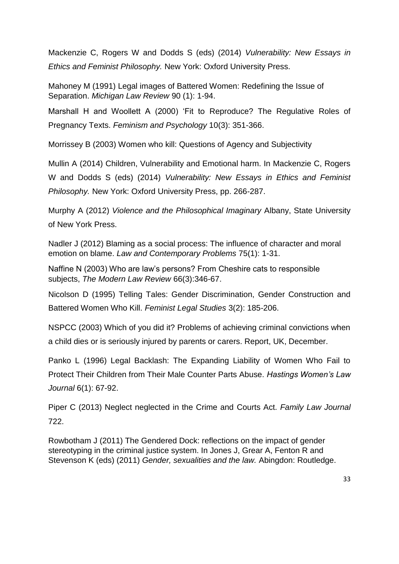Mackenzie C, Rogers W and Dodds S (eds) (2014) *Vulnerability: New Essays in Ethics and Feminist Philosophy.* New York: Oxford University Press.

Mahoney M (1991) Legal images of Battered Women: Redefining the Issue of Separation. *Michigan Law Review* 90 (1): 1-94.

Marshall H and Woollett A (2000) 'Fit to Reproduce? The Regulative Roles of Pregnancy Texts. *Feminism and Psychology* 10(3): 351-366.

Morrissey B (2003) Women who kill: Questions of Agency and Subjectivity

Mullin A (2014) Children, Vulnerability and Emotional harm. In Mackenzie C, Rogers W and Dodds S (eds) (2014) *Vulnerability: New Essays in Ethics and Feminist Philosophy.* New York: Oxford University Press, pp. 266-287.

Murphy A (2012) *Violence and the Philosophical Imaginary* Albany, State University of New York Press.

Nadler J (2012) Blaming as a social process: The influence of character and moral emotion on blame. *Law and Contemporary Problems* 75(1): 1-31.

Naffine N (2003) Who are law's persons? From Cheshire cats to responsible subjects, *The Modern Law Review* 66(3):346-67.

Nicolson D (1995) Telling Tales: Gender Discrimination, Gender Construction and Battered Women Who Kill. *Feminist Legal Studies* 3(2): 185-206.

NSPCC (2003) Which of you did it? Problems of achieving criminal convictions when a child dies or is seriously injured by parents or carers. Report, UK, December.

Panko L (1996) Legal Backlash: The Expanding Liability of Women Who Fail to Protect Their Children from Their Male Counter Parts Abuse. *Hastings Women's Law Journal* 6(1): 67-92.

Piper C (2013) Neglect neglected in the Crime and Courts Act. *Family Law Journal*  722.

Rowbotham J (2011) The Gendered Dock: reflections on the impact of gender stereotyping in the criminal justice system. In Jones J, Grear A, Fenton R and Stevenson K (eds) (2011) *Gender, sexualities and the law.* Abingdon: Routledge.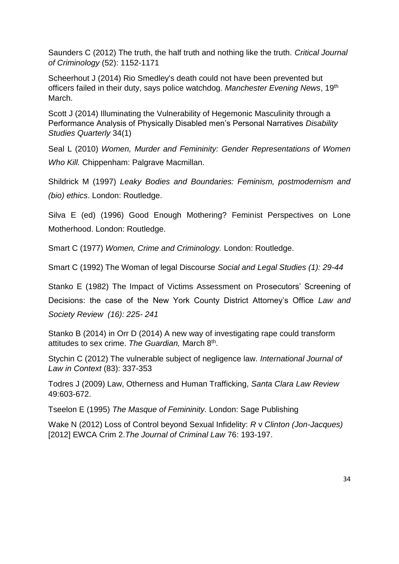Saunders C (2012) The truth, the half truth and nothing like the truth. *Critical Journal of Criminology* (52): 1152-1171

Scheerhout J (2014) Rio Smedley's death could not have been prevented but officers failed in their duty, says police watchdog. *Manchester Evening News*, 19th March.

Scott J (2014) Illuminating the Vulnerability of Hegemonic Masculinity through a Performance Analysis of Physically Disabled men's Personal Narratives *Disability Studies Quarterly* 34(1)

Seal L (2010) *Women, Murder and Femininity: Gender Representations of Women Who Kill.* Chippenham: Palgrave Macmillan.

Shildrick M (1997) *Leaky Bodies and Boundaries: Feminism, postmodernism and (bio) ethics*. London: Routledge.

Silva E (ed) (1996) Good Enough Mothering? Feminist Perspectives on Lone Motherhood. London: Routledge.

Smart C (1977) *Women, Crime and Criminology.* London: Routledge.

Smart C (1992) The Woman of legal Discourse *Social and Legal Studies (1): 29-44*

Stanko E (1982) The Impact of Victims Assessment on Prosecutors' Screening of Decisions: the case of the New York County District Attorney's Office *Law and Society Review (16): 225- 241*

Stanko B (2014) in Orr D (2014) A new way of investigating rape could transform attitudes to sex crime. The Guardian, March 8<sup>th</sup>.

Stychin C (2012) The vulnerable subject of negligence law. *International Journal of Law in Context* (83): 337-353

Todres J (2009) Law, Otherness and Human Trafficking, *Santa Clara Law Review*  49:603-672.

Tseelon E (1995) *The Masque of Femininity.* London: Sage Publishing

Wake N (2012) Loss of Control beyond Sexual Infidelity: *R* v *Clinton (Jon-Jacques)* [2012] EWCA Crim 2.*The Journal of Criminal Law* 76: 193-197.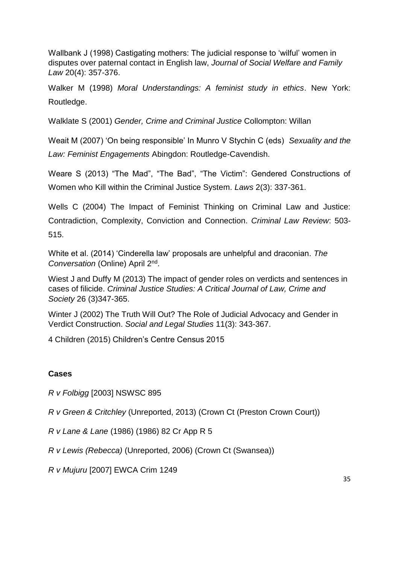Wallbank J (1998) Castigating mothers: The judicial response to 'wilful' women in disputes over paternal contact in English law, *Journal of Social Welfare and Family Law* 20(4): 357-376.

Walker M (1998) *Moral Understandings: A feminist study in ethics*. New York: Routledge.

Walklate S (2001) *Gender, Crime and Criminal Justice* Collompton: Willan

Weait M (2007) 'On being responsible' In Munro V Stychin C (eds) *Sexuality and the Law: Feminist Engagements* Abingdon: Routledge-Cavendish.

Weare S (2013) "The Mad", "The Bad", "The Victim": Gendered Constructions of Women who Kill within the Criminal Justice System. *Laws* 2(3): 337-361.

Wells C (2004) The Impact of Feminist Thinking on Criminal Law and Justice: Contradiction, Complexity, Conviction and Connection. *Criminal Law Review*: 503- 515.

White et al. (2014) 'Cinderella law' proposals are unhelpful and draconian. *The Conversation* (Online) April 2nd .

Wiest J and Duffy M (2013) The impact of gender roles on verdicts and sentences in cases of filicide. *Criminal Justice Studies: A Critical Journal of Law, Crime and Society* 26 (3)347-365.

Winter J (2002) The Truth Will Out? The Role of Judicial Advocacy and Gender in Verdict Construction. *Social and Legal Studies* 11(3): 343-367.

4 Children (2015) Children's Centre Census 2015

## **Cases**

*R v Folbigg* [2003] NSWSC 895

*R v Green & Critchley* (Unreported, 2013) (Crown Ct (Preston Crown Court))

*R v Lane & Lane* (1986) (1986) 82 Cr App R 5

*R v Lewis (Rebecca)* (Unreported, 2006) (Crown Ct (Swansea))

*R v Mujuru* [2007] EWCA Crim 1249